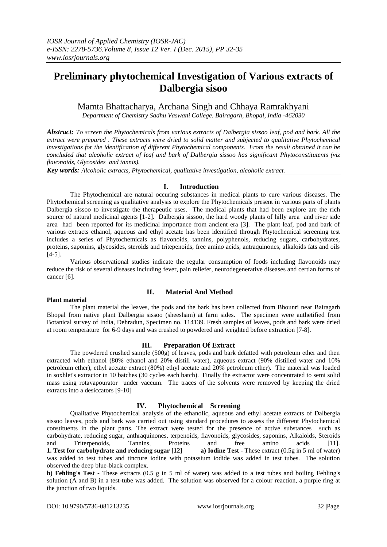# **Preliminary phytochemical Investigation of Various extracts of Dalbergia sisoo**

Mamta Bhattacharya, Archana Singh and Chhaya Ramrakhyani

*Department of Chemistry Sadhu Vaswani College. Bairagarh, Bhopal, India -462030*

*Abstract: To screen the Phytochemicals from various extracts of Dalbergia sissoo leaf, pod and bark. All the extract were prepared . These extracts were dried to solid matter and subjected to qualitative Phytochemical investigations for the identification of different Phytochemical components. From the result obtained it can be concluded that alcoholic extract of leaf and bark of Dalbergia sissoo has significant Phytoconstitutents (viz flavonoids, Glycosides and tannis).*

*Key words: Alcoholic extracts, Phytochemical, qualitative investigation, alcoholic extract.*

# **I. Introduction**

The Phytochemical are natural occuring substances in medical plants to cure various diseases. The Phytochemical screening as qualitative analysis to explore the Phytochemicals present in various parts of plants Dalbergia sissoo to investigate the therapeutic uses. The medical plants that had been explore are the rich source of natural medicinal agents [1-2]. Dalbergia sissoo, the hard woody plants of hilly area and river side area had been reported for its medicinal importance from ancient era [3]. The plant leaf, pod and bark of various extracts ethanol, aqueous and ethyl acetate has been identified through Phytochemical screening test includes a series of Phytochemicals as flavonoids, tannins, polyphenols, reducing sugars, carbohydrates, proteins, saponins, glycosides, steroids and tritepenoids, free amino acids, antraquinones, alkaloids fats and oils [4-5].

Various observational studies indicate the regular consumption of foods including flavonoids may reduce the risk of several diseases including fever, pain reliefer, neurodegenerative diseases and certian forms of cancer [6].

#### **Plant material**

# **II. Material And Method**

The plant material the leaves, the pods and the bark has been collected from Bhounri near Bairagarh Bhopal from native plant Dalbergia sissoo (sheesham) at farm sides. The specimen were authetified from Botanical survey of India, Dehradun, Specimen no. 114139. Fresh samples of leaves, pods and bark were dried at room temperature for 6-9 days and was crushed to powdered and weighted before extraction [7-8].

## **III. Preparation Of Extract**

The powdered crushed sample (500g) of leaves, pods and bark defatted with petroleum ether and then extracted with ethanol (80% ethanol and 20% distill water), aqueous extract (90% distilled water and 10% petroleum ether), ethyl acetate extract (80%) ethyl acetate and 20% petroleum ether). The material was loaded in soxhlet's extractor in 10 batches (30 cycles each batch). Finally the extractor were concentrated to semi solid mass using rotavapourator under vaccum. The traces of the solvents were removed by keeping the dried extracts into a desiccators [9-10]

## **IV. Phytochemical Screening**

Qualitative Phytochemical analysis of the ethanolic, aqueous and ethyl acetate extracts of Dalbergia sissoo leaves, pods and bark was carried out using standard procedures to assess the different Phytochemical constituents in the plant parts. The extract were tested for the presence of active substances such as carbohydrate, reducing sugar, anthraquinones, terpenoids, flavonoids, glycosides, saponins, Alkaloids, Steroids and Triterpenoids, Tannins, Proteins and free amino acids [11]. **1. Test for carbohydrate and reducing sugar [12] a) Iodine Test -** These extract (0.5g in 5 ml of water) was added to test tubes and tincture iodine with potassium iodide was added in test tubes. The solution observed the deep blue-black complex.

**b) Fehling's Test -** These extracts (0.5 g in 5 ml of water) was added to a test tubes and boiling Fehling's solution (A and B) in a test-tube was added. The solution was observed for a colour reaction, a purple ring at the junction of two liquids.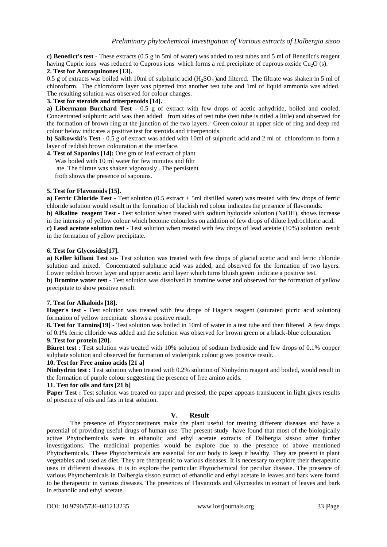**c) Benedict's test -** These extracts (0.5 g in 5ml of water) was added to test tubes and 5 ml of Benedict's reagent having Cupric ions was reduced to Cuprous ions which forms a red precipitate of cuprous oxside  $Cu<sub>2</sub>O$  (s).

### **2. Test for Antraquinones [13].**

0.5 g of extracts was boiled with 10ml of sulphuric acid  $(H_2SO_4)$  and filtered. The filtrate was shaken in 5 ml of chloroform. The chloroform layer was pipetted into another test tube and 1ml of liquid ammonia was added. The resulting solution was observed for colour changes.

#### **3. Test for steroids and triterpenoids [14].**

**a) Libermann Burchard Test -** 0.5 g of extract with few drops of acetic anhydride, boiled and cooled. Concentrated sulphuric acid was then added from sides of test tube (test tube is titled a little) and observed for the formation of brown ring at the junction of the two layers. Green colour at upper side of ring and deep red colour below indicates a positive test for steroids and triterpenoids.

**b) Salkowski's Test -** 0.5 g of extract was added with 10ml of sulphuric acid and 2 ml of chloroform to form a layer of reddish brown colouration at the interface.

**4. Test of Saponins [14]:** One gm of leaf extract of plant

 Was boiled with 10 ml water for few minutes and filtr ate The filtrate was shaken vigorously . The persistent froth shows the presence of saponins.

#### **5. Test for Flavonoids [15].**

**a) Ferric Chloride Test -** Test solution (0.5 extract + 5ml distilled water) was treated with few drops of ferric chloride solution would result in the formation of blackish red colour indicates the presence of flavonoids. **b) Alkaline reagent Test -** Test solution when treated with sodium hydoxide solution (NaOH), shows increase in the intensity of yellow colour which become colourless on addition of few drops of dilute hydrochloric acid. **c) Lead acetate solution test -** Test solution when treated with few drops of lead acetate (10%) solution result in the formation of yellow precipitate.

#### **6. Test for Glycosides[17].**

**a) Keller killiani Test** su**-** Test solution was treated with few drops of glacial acetic acid and ferric chloride solution and mixed. Concentrated sulphuric acid was added, and observed for the formation of two layers. Lower reddish brown layer and upper acetic acid layer which turns bluish green indicate a positive test.

**b) Bromine water test -** Test solution was dissolved in bromine water and observed for the formation of yellow precipitate to show positive result.

## **7. Test for Alkaloids [18].**

**Hager's test -** Test solution was treated with few drops of Hager's reagent (saturated picric acid solution) formation of yellow precipitate shows a positive result.

**8. Test for Tannins[19] -** Test solution was boiled in 10ml of water in a test tube and then filtered. A few drops of 0.1% ferric chloride was added and the solution was observed for brown green or a black-blue colouration.

# **9. Test for protein [20].**

**Biuret test** : Test solution was treated with 10% solution of sodium hydroxide and few drops of 0.1% copper sulphate solution and observed for formation of violet/pink colour gives positive result.

#### **10. Test for Free amino acids [21 a]**

**Ninhydrin test :** Test solution when treated with 0.2% solution of Ninhydrin reagent and boiled, would result in the formation of purple colour suggesting the presence of free amino acids.

#### **11. Test for oils and fats [21 b]**

**Paper Test :** Test solution was treated on paper and pressed, the paper appears translucent in light gives results of presence of oils and fats in test solution.

# **V. Result**

The presence of Phytoconstitents make the plant useful for treating different diseases and have a potential of providing useful drugs of human use. The present study have found that most of the biologically active Phytochemicals were in ethanolic and ethyl acetate extracts of Dalbergia sissoo after further investigations. The medicinal properties would be explore due to the presence of above mentioned Phytochemicals. These Phytochemicals are essential for our body to keep it healthy. They are present in plant vegetables and used as diet. They are therapeutic to various diseases. It is necessary to explore their therapeutic uses in different diseases. It is to explore the particular Phytochemical for peculiar disease. The presence of various Phytochemicals in Dalbergia sissoo extract of ethanolic and ethyl acetate in leaves and bark were found to be therapeutic in various diseases. The presences of Flavanoids and Glycosides in extract of leaves and bark in ethanolic and ethyl acetate.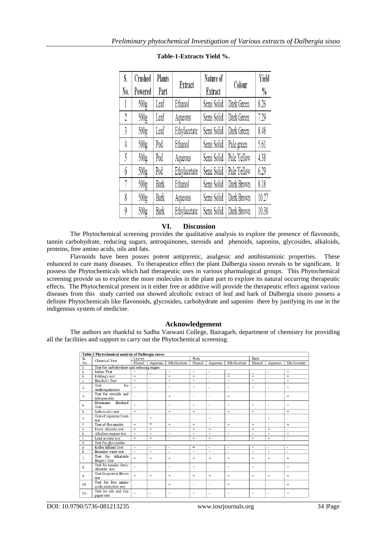| S.  | Crushed          | Plants | Extract      | Nature of  | Colour      | Yield         |
|-----|------------------|--------|--------------|------------|-------------|---------------|
| No. | Powered          | Part   |              | Extract    |             | $\frac{0}{0}$ |
|     | 500g             | Leaf   | Ethanol      | Semi Solid | Dark Green  | 8.26          |
| 2   | 500 <sub>g</sub> | Leaf   | Aqueous      | Semi Solid | Dark Green  | 7.29          |
| 3   | 500 <sub>g</sub> | Leaf   | Ethylacetate | Semi Solid | Dark Green  | 8.48          |
| 4   | 500 <sub>g</sub> | Pod    | Ethanol      | Semi Solid | Pale green  | 5.61          |
| 5   | 500 <sub>g</sub> | Pod    | Aqueous      | Semi Solid | Pale Yellow | 4.38          |
| 6   | 500 <sub>g</sub> | Pod    | Ethylacetate | Semi Solid | Pale Yellow | 6.29          |
| 7   | 500 <sub>g</sub> | Bark   | Ethanol      | Semi Solid | Dark Brown  | 8.18          |
| 8   | 500 <sub>g</sub> | Bark   | Aqueous      | Semi Solid | Dark Brown  | 10.27         |
| 9   | 500g             | Bark   | Ethylacetate | Semi Solid | Dark Brown  | 10.38         |

# **Table-1-Extracts Yield %.**

# **VI. Discussion**

The Phytochemical screening provides the qualitative analysis to explore the presence of flavonoids, tannin carbohydrate, reducing sugars, antroquinones, steroids and phenoids, saponins, glycosides, alkaloids, proteins, free amino acids, oils and fats.

Flavnoids have been posses potent antipyretic, analgesic and antihistaminic properties. These enhanced to cure many diseases. To therapeutice effect the plant Dalbergia sissoo reveals to be significant. It possess the Phytochemicals which had therapeutic uses in various pharmalogical groups. This Phytochemical screening provide us to explore the more molecules in the plant part to explore its natural occurring therapeutic effects. The Phytochemical present in it either free or additive will provide the therapeutic effect against various diseases from this study carried out showed alcoholic extract of leaf and bark of Dalbergia sissoo possess a definite Phytochemicals like flavonoids, glycosides, carbohydrate and saponins there by justifying its use in the indigenous system of medicine.

## **Acknowledgement**

The authors are thankful to Sadhu Vaswani College, Bairagarh, department of chemistry for providing all the facilities and support to carry out the Phytochemical screening.

| Table-2 Phytochemical analysis of Dalbergia sissoo |                                             |           |                |              |                      |         |              |                      |                          |              |  |  |  |
|----------------------------------------------------|---------------------------------------------|-----------|----------------|--------------|----------------------|---------|--------------|----------------------|--------------------------|--------------|--|--|--|
| Sr.                                                | <b>Chemical Test</b>                        | Leaves    |                |              | Pods                 |         |              | <b>Bark</b>          |                          |              |  |  |  |
| No.                                                |                                             | Ehanol    | Aqueous        | Ethylacetate | Ehanol               | Aqueous | Ethylacetate | Ehanol               | Aqueous                  | Ethylacetate |  |  |  |
| $\mathbf{1}$                                       | Test for carbohydrate and reducing sugars   |           |                |              |                      |         |              |                      |                          |              |  |  |  |
| a                                                  | <b>Iodine Test</b>                          | ÷         |                | $+$          | ÷                    | ä,      |              |                      | $\sim$                   | $+$          |  |  |  |
| $\mathbf b$                                        | Fehling's test                              | ÷         | ٠              | $\ddot{}$    | ÷                    | ×,      | ÷            | $\ddot{}$            | ×                        | ÷            |  |  |  |
| c                                                  | <b>Bendict's Test</b>                       | $+$       | ٠              | $+$          | $\ddot{}$            | ٠       | ÷            | $\ddot{}$            | ÷,                       | $+$          |  |  |  |
| 2.                                                 | for<br><b>Test</b><br>Anthroquinones        | $\ddot{}$ | ä,             | $+$          | ÷                    | ٠       | ÷            | $+$                  | ÷,                       | $+$          |  |  |  |
| $3-$                                               | Test for steroids and<br>triterpenoids      | ٠         | ٠              | $\pm$        | ٠                    | ٠       | ÷            | ٠                    | $\overline{\phantom{a}}$ | $+$          |  |  |  |
| a                                                  | Buchard<br>libermann<br>Test                | $+$       | $\sim$         | $+$          | ÷                    | ÷       | ÷            | $+$                  | $\sim$                   | $+$          |  |  |  |
| b                                                  | Salkowski's test                            | $+$       | ÷,             | $+$          | $\ddot{}$            | ٠       | ÷            | $\ddot{}$            | ٠                        | $\ddot{}$    |  |  |  |
| 4                                                  | Test of saponins foam<br>test               |           | $+$            | $\sim$       | ä,                   | ÷       | ä,           | ÷                    | $+$                      | $\sim$       |  |  |  |
| 5                                                  | <b>Test of flavonoids</b>                   | ÷         | ₩              | ÷            | ÷                    | ä,      | ÷            | ÷                    | ä,                       | ÷            |  |  |  |
| $\mathbf{a}$                                       | Ferric chloride test                        | ÷         | $\ddot{}$      | ÷            | ÷                    | $+$     | L.           | $\ddot{}$            | $\ddot{}$                | ÷            |  |  |  |
| b.                                                 | Alkaline reagent test                       | $+$       | $\overline{+}$ | $+$          | ÷                    | ÷       | ÷            | $\ddot{\phantom{1}}$ | $\ddot{}$                | $\ddot{}$    |  |  |  |
| c.                                                 | Lead acetate test                           | $+$       | $+$            | $\sim$       | ÷                    | ÷       | ä,           | $+$                  | $+$                      | ×,           |  |  |  |
| 6.                                                 | Test for glycoisides                        |           |                |              |                      |         |              |                      |                          |              |  |  |  |
| a                                                  | Keller killiani Test                        | $+$       | ÷              | $\sim$       | $=$                  | $\sim$  | ÷,           | $+$                  | $\overline{\phantom{a}}$ | $\sim$       |  |  |  |
| b                                                  | <b>Bromine</b> water test                   | $+$       | $+$            | $\sim$       | $\ddot{\phantom{1}}$ | ÷       | ä,           | ÷                    | $+$                      | $\Delta$     |  |  |  |
| 7.                                                 | Test for Alkaloids<br>Hager's Test          | ÷         | $\ddot{}$      | ÷            | ÷                    | ÷       | ÷            | ÷                    | ÷                        | ÷            |  |  |  |
| 8.                                                 | Test for tannins ferric<br>chloride test    | $+$       | ٠              | $+$          | ÷                    | ٠       | ÷            | $+$                  | $\sim$                   | $+$          |  |  |  |
| 9.                                                 | <b>Test for protein Bivret</b><br>test      | ÷         | $\ddot{}$      | $+$          | ÷                    | ÷       | ÷            | ÷                    | $\ddot{}$                | $\ddot{}$    |  |  |  |
| 10.                                                | Test for free amino<br>acids ninhydrin test |           | ż.             | $+$          | ٠                    | ä,      | ÷            | ٠                    | $\mathbf{r}$             | ÷            |  |  |  |
| $11 -$                                             | Test for oils and fats<br>paper test        | $+$       | ٠              | $\ddot{}$    | ÷                    | ٠       | ÷            | $\ddot{}$            | ٠                        | $\ddot{}$    |  |  |  |